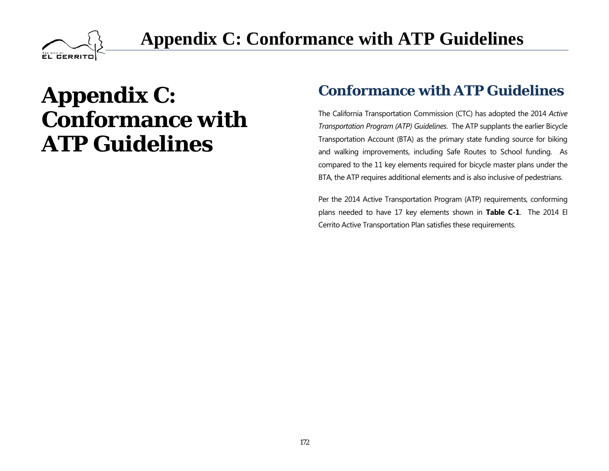

## **Appendix C: Conformance with ATP Guidelines**

# **Appendix C: Conformance with ATP Guidelines**

#### **Conformance with ATP Guidelines**

The California Transportation Commission (CTC) has adopted the 2014 *Active Transportation Program (ATP) Guidelines*. The ATP supplants the earlier Bicycle Transportation Account (BTA) as the primary state funding source for biking and walking improvements, including Safe Routes to School funding. As compared to the 11 key elements required for bicycle master plans under the BTA, the ATP requires additional elements and is also inclusive of pedestrians.

Per the 2014 Active Transportation Program (ATP) requirements, conforming plans needed to have 17 key elements shown in **Table C-1**. The 2014 El Cerrito Active Transportation Plan satisfies these requirements.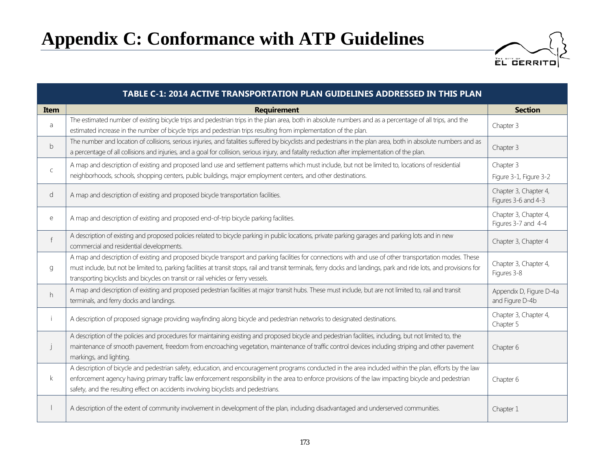### **Appendix C: Conformance with ATP Guidelines**



| TABLE C-1: 2014 ACTIVE TRANSPORTATION PLAN GUIDELINES ADDRESSED IN THIS PLAN |                                                                                                                                                                                                                                                                                                                                                                                                                           |                                              |
|------------------------------------------------------------------------------|---------------------------------------------------------------------------------------------------------------------------------------------------------------------------------------------------------------------------------------------------------------------------------------------------------------------------------------------------------------------------------------------------------------------------|----------------------------------------------|
| Item                                                                         | <b>Requirement</b>                                                                                                                                                                                                                                                                                                                                                                                                        | <b>Section</b>                               |
| a                                                                            | The estimated number of existing bicycle trips and pedestrian trips in the plan area, both in absolute numbers and as a percentage of all trips, and the<br>estimated increase in the number of bicycle trips and pedestrian trips resulting from implementation of the plan.                                                                                                                                             | Chapter 3                                    |
| b                                                                            | The number and location of collisions, serious injuries, and fatalities suffered by bicyclists and pedestrians in the plan area, both in absolute numbers and as<br>a percentage of all collisions and injuries, and a goal for collision, serious injury, and fatality reduction after implementation of the plan.                                                                                                       | Chapter 3                                    |
| $\mathsf{C}$                                                                 | A map and description of existing and proposed land use and settlement patterns which must include, but not be limited to, locations of residential<br>neighborhoods, schools, shopping centers, public buildings, major employment centers, and other destinations.                                                                                                                                                      | Chapter 3<br>Figure 3-1, Figure 3-2          |
| d                                                                            | A map and description of existing and proposed bicycle transportation facilities.                                                                                                                                                                                                                                                                                                                                         | Chapter 3, Chapter 4,<br>Figures 3-6 and 4-3 |
| e                                                                            | A map and description of existing and proposed end-of-trip bicycle parking facilities.                                                                                                                                                                                                                                                                                                                                    | Chapter 3, Chapter 4,<br>Figures 3-7 and 4-4 |
| $\mathsf{f}$                                                                 | A description of existing and proposed policies related to bicycle parking in public locations, private parking garages and parking lots and in new<br>commercial and residential developments.                                                                                                                                                                                                                           | Chapter 3, Chapter 4                         |
| g                                                                            | A map and description of existing and proposed bicycle transport and parking facilities for connections with and use of other transportation modes. These<br>must include, but not be limited to, parking facilities at transit stops, rail and transit terminals, ferry docks and landings, park and ride lots, and provisions for<br>transporting bicyclists and bicycles on transit or rail vehicles or ferry vessels. | Chapter 3, Chapter 4,<br>Figures 3-8         |
| h                                                                            | A map and description of existing and proposed pedestrian facilities at major transit hubs. These must include, but are not limited to, rail and transit<br>terminals, and ferry docks and landings.                                                                                                                                                                                                                      | Appendix D, Figure D-4a<br>and Figure D-4b   |
| i.                                                                           | A description of proposed signage providing wayfinding along bicycle and pedestrian networks to designated destinations.                                                                                                                                                                                                                                                                                                  | Chapter 3, Chapter 4,<br>Chapter 5           |
| j                                                                            | A description of the policies and procedures for maintaining existing and proposed bicycle and pedestrian facilities, including, but not limited to, the<br>maintenance of smooth pavement, freedom from encroaching vegetation, maintenance of traffic control devices including striping and other pavement<br>markings, and lighting.                                                                                  | Chapter 6                                    |
| $\mathsf{k}$                                                                 | A description of bicycle and pedestrian safety, education, and encouragement programs conducted in the area included within the plan, efforts by the law<br>enforcement agency having primary traffic law enforcement responsibility in the area to enforce provisions of the law impacting bicycle and pedestrian<br>safety, and the resulting effect on accidents involving bicyclists and pedestrians.                 | Chapter 6                                    |
|                                                                              | A description of the extent of community involvement in development of the plan, including disadvantaged and underserved communities.                                                                                                                                                                                                                                                                                     | Chapter 1                                    |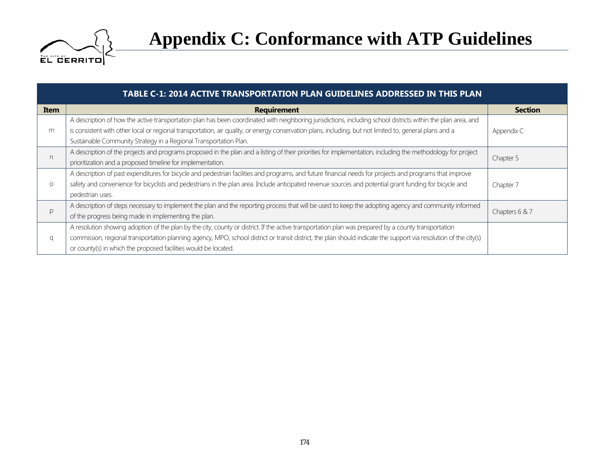

| TABLE C-1: 2014 ACTIVE TRANSPORTATION PLAN GUIDELINES ADDRESSED IN THIS PLAN |                                                                                                                                                                   |                |  |
|------------------------------------------------------------------------------|-------------------------------------------------------------------------------------------------------------------------------------------------------------------|----------------|--|
| <b>Item</b>                                                                  | <b>Requirement</b>                                                                                                                                                | <b>Section</b> |  |
| m                                                                            | A description of how the active transportation plan has been coordinated with neighboring jurisdictions, including school districts within the plan area, and     |                |  |
|                                                                              | is consistent with other local or regional transportation, air quality, or energy conservation plans, including, but not limited to, general plans and a          | Appendix C     |  |
|                                                                              | Sustainable Community Strategy in a Regional Transportation Plan.                                                                                                 |                |  |
| n                                                                            | A description of the projects and programs proposed in the plan and a listing of their priorities for implementation, including the methodology for project       |                |  |
|                                                                              | prioritization and a proposed timeline for implementation.                                                                                                        | Chapter 5      |  |
| $\circ$                                                                      | A description of past expenditures for bicycle and pedestrian facilities and programs, and future financial needs for projects and programs that improve          |                |  |
|                                                                              | safety and convenience for bicyclists and pedestrians in the plan area. Include anticipated revenue sources and potential grant funding for bicycle and           | Chapter 7      |  |
|                                                                              | pedestrian uses.                                                                                                                                                  |                |  |
| p                                                                            | A description of steps necessary to implement the plan and the reporting process that will be used to keep the adopting agency and community informed             |                |  |
|                                                                              | of the progress being made in implementing the plan.                                                                                                              | Chapters 6 & 7 |  |
| q                                                                            | A resolution showing adoption of the plan by the city, county or district. If the active transportation plan was prepared by a county transportation              |                |  |
|                                                                              | commission, regional transportation planning agency, MPO, school district or transit district, the plan should indicate the support via resolution of the city(s) |                |  |
|                                                                              | or county(s) in which the proposed facilities would be located.                                                                                                   |                |  |